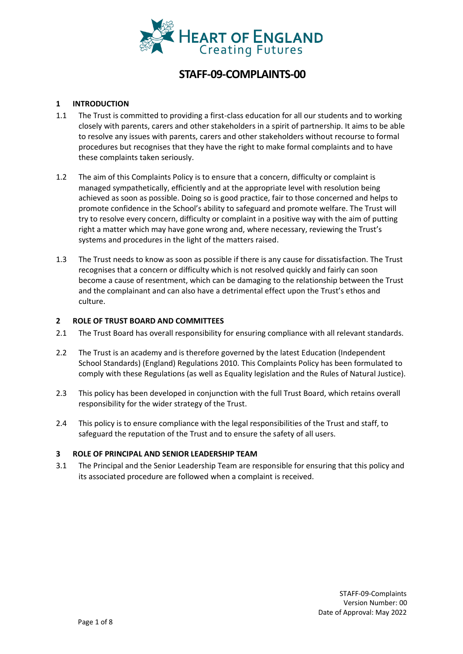

# **STAFF-09-COMPLAINTS-00**

### **1 INTRODUCTION**

- 1.1 The Trust is committed to providing a first-class education for all our students and to working closely with parents, carers and other stakeholders in a spirit of partnership. It aims to be able to resolve any issues with parents, carers and other stakeholders without recourse to formal procedures but recognises that they have the right to make formal complaints and to have these complaints taken seriously.
- 1.2 The aim of this Complaints Policy is to ensure that a concern, difficulty or complaint is managed sympathetically, efficiently and at the appropriate level with resolution being achieved as soon as possible. Doing so is good practice, fair to those concerned and helps to promote confidence in the School's ability to safeguard and promote welfare. The Trust will try to resolve every concern, difficulty or complaint in a positive way with the aim of putting right a matter which may have gone wrong and, where necessary, reviewing the Trust's systems and procedures in the light of the matters raised.
- 1.3 The Trust needs to know as soon as possible if there is any cause for dissatisfaction. The Trust recognises that a concern or difficulty which is not resolved quickly and fairly can soon become a cause of resentment, which can be damaging to the relationship between the Trust and the complainant and can also have a detrimental effect upon the Trust's ethos and culture.

#### **2 ROLE OF TRUST BOARD AND COMMITTEES**

- 2.1 The Trust Board has overall responsibility for ensuring compliance with all relevant standards.
- 2.2 The Trust is an academy and is therefore governed by the latest Education (Independent School Standards) (England) Regulations 2010. This Complaints Policy has been formulated to comply with these Regulations (as well as Equality legislation and the Rules of Natural Justice).
- 2.3 This policy has been developed in conjunction with the full Trust Board, which retains overall responsibility for the wider strategy of the Trust.
- 2.4 This policy is to ensure compliance with the legal responsibilities of the Trust and staff, to safeguard the reputation of the Trust and to ensure the safety of all users.

#### **3 ROLE OF PRINCIPAL AND SENIOR LEADERSHIP TEAM**

3.1 The Principal and the Senior Leadership Team are responsible for ensuring that this policy and its associated procedure are followed when a complaint is received.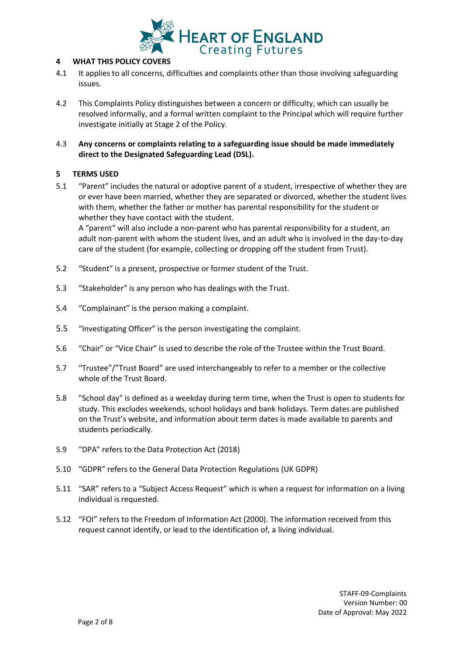

### **4 WHAT THIS POLICY COVERS**

- 4.1 It applies to all concerns, difficulties and complaints other than those involving safeguarding issues.
- 4.2 This Complaints Policy distinguishes between a concern or difficulty, which can usually be resolved informally, and a formal written complaint to the Principal which will require further investigate initially at Stage 2 of the Policy.
- 4.3 **Any concerns or complaints relating to a safeguarding issue should be made immediately direct to the Designated Safeguarding Lead (DSL).**

## **5 TERMS USED**

5.1 "Parent" includes the natural or adoptive parent of a student, irrespective of whether they are or ever have been married, whether they are separated or divorced, whether the student lives with them, whether the father or mother has parental responsibility for the student or whether they have contact with the student.

A "parent" will also include a non-parent who has parental responsibility for a student, an adult non-parent with whom the student lives, and an adult who is involved in the day-to-day care of the student (for example, collecting or dropping off the student from Trust).

- 5.2 "Student" is a present, prospective or former student of the Trust.
- 5.3 "Stakeholder" is any person who has dealings with the Trust.
- 5.4 "Complainant" is the person making a complaint.
- 5.5 "Investigating Officer" is the person investigating the complaint.
- 5.6 "Chair" or "Vice Chair" is used to describe the role of the Trustee within the Trust Board.
- 5.7 "Trustee"/"Trust Board" are used interchangeably to refer to a member or the collective whole of the Trust Board.
- 5.8 "School day" is defined as a weekday during term time, when the Trust is open to students for study. This excludes weekends, school holidays and bank holidays. Term dates are published on the Trust's website, and information about term dates is made available to parents and students periodically.
- 5.9 "DPA" refers to the Data Protection Act (2018)
- 5.10 "GDPR" refers to the General Data Protection Regulations (UK GDPR)
- 5.11 "SAR" refers to a "Subject Access Request" which is when a request for information on a living individual is requested.
- 5.12 "FOI" refers to the Freedom of Information Act (2000). The information received from this request cannot identify, or lead to the identification of, a living individual.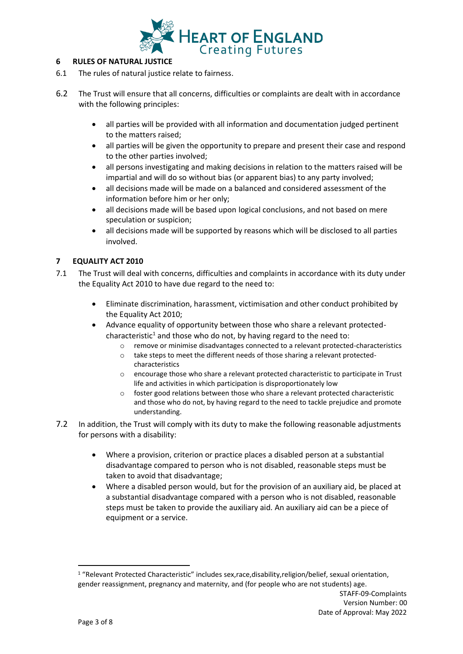

#### **6 RULES OF NATURAL JUSTICE**

- 6.1 The rules of natural justice relate to fairness.
- 6.2 The Trust will ensure that all concerns, difficulties or complaints are dealt with in accordance with the following principles:
	- all parties will be provided with all information and documentation judged pertinent to the matters raised;
	- all parties will be given the opportunity to prepare and present their case and respond to the other parties involved;
	- all persons investigating and making decisions in relation to the matters raised will be impartial and will do so without bias (or apparent bias) to any party involved;
	- all decisions made will be made on a balanced and considered assessment of the information before him or her only;
	- all decisions made will be based upon logical conclusions, and not based on mere speculation or suspicion;
	- all decisions made will be supported by reasons which will be disclosed to all parties involved.

# **7 EQUALITY ACT 2010**

- 7.1 The Trust will deal with concerns, difficulties and complaints in accordance with its duty under the Equality Act 2010 to have due regard to the need to:
	- Eliminate discrimination, harassment, victimisation and other conduct prohibited by the Equality Act 2010;
	- Advance equality of opportunity between those who share a relevant protectedcharacteristic<sup>1</sup> and those who do not, by having regard to the need to:
		- $\circ$  remove or minimise disadvantages connected to a relevant protected-characteristics
		- o take steps to meet the different needs of those sharing a relevant protectedcharacteristics
		- $\circ$  encourage those who share a relevant protected characteristic to participate in Trust life and activities in which participation is disproportionately low
		- $\circ$  foster good relations between those who share a relevant protected characteristic and those who do not, by having regard to the need to tackle prejudice and promote understanding.
- 7.2 In addition, the Trust will comply with its duty to make the following reasonable adjustments for persons with a disability:
	- Where a provision, criterion or practice places a disabled person at a substantial disadvantage compared to person who is not disabled, reasonable steps must be taken to avoid that disadvantage;
	- Where a disabled person would, but for the provision of an auxiliary aid, be placed at a substantial disadvantage compared with a person who is not disabled, reasonable steps must be taken to provide the auxiliary aid. An auxiliary aid can be a piece of equipment or a service.

<sup>1</sup> "Relevant Protected Characteristic" includes sex,race,disability,religion/belief, sexual orientation, gender reassignment, pregnancy and maternity, and (for people who are not students) age.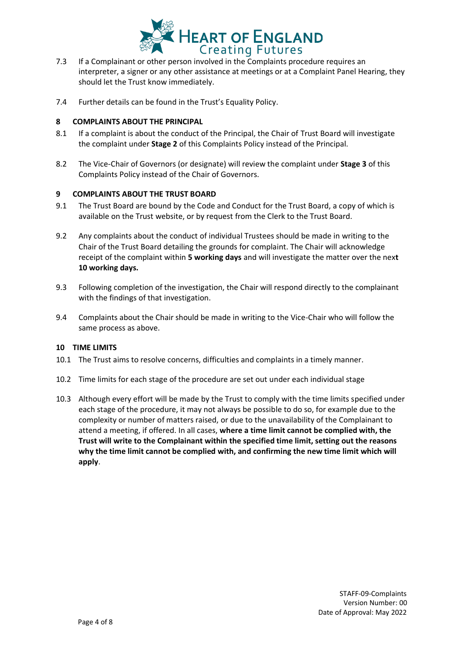

- 7.3 If a Complainant or other person involved in the Complaints procedure requires an interpreter, a signer or any other assistance at meetings or at a Complaint Panel Hearing, they should let the Trust know immediately.
- 7.4 Further details can be found in the Trust's Equality Policy.

## **8 COMPLAINTS ABOUT THE PRINCIPAL**

- 8.1 If a complaint is about the conduct of the Principal, the Chair of Trust Board will investigate the complaint under **Stage 2** of this Complaints Policy instead of the Principal.
- 8.2 The Vice-Chair of Governors (or designate) will review the complaint under **Stage 3** of this Complaints Policy instead of the Chair of Governors.

## **9 COMPLAINTS ABOUT THE TRUST BOARD**

- 9.1 The Trust Board are bound by the Code and Conduct for the Trust Board, a copy of which is available on the Trust website, or by request from the Clerk to the Trust Board.
- 9.2 Any complaints about the conduct of individual Trustees should be made in writing to the Chair of the Trust Board detailing the grounds for complaint. The Chair will acknowledge receipt of the complaint within **5 working days** and will investigate the matter over the nex**t 10 working days.**
- 9.3 Following completion of the investigation, the Chair will respond directly to the complainant with the findings of that investigation.
- 9.4 Complaints about the Chair should be made in writing to the Vice-Chair who will follow the same process as above.

#### **10 TIME LIMITS**

- 10.1 The Trust aims to resolve concerns, difficulties and complaints in a timely manner.
- 10.2 Time limits for each stage of the procedure are set out under each individual stage
- 10.3 Although every effort will be made by the Trust to comply with the time limits specified under each stage of the procedure, it may not always be possible to do so, for example due to the complexity or number of matters raised, or due to the unavailability of the Complainant to attend a meeting, if offered. In all cases, **where a time limit cannot be complied with, the Trust will write to the Complainant within the specified time limit, setting out the reasons why the time limit cannot be complied with, and confirming the new time limit which will apply**.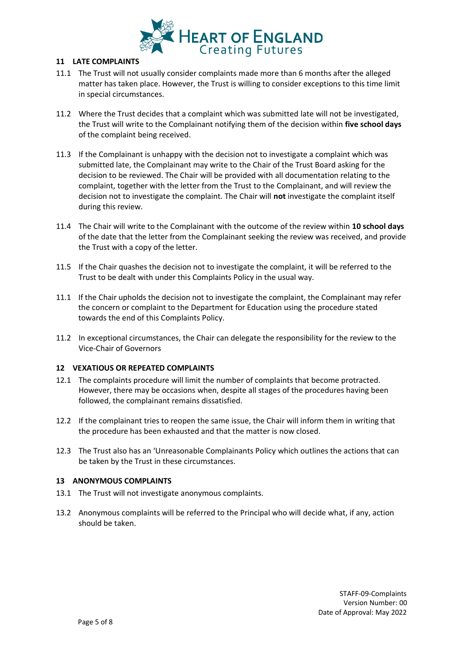

#### **11 LATE COMPLAINTS**

- 11.1 The Trust will not usually consider complaints made more than 6 months after the alleged matter has taken place. However, the Trust is willing to consider exceptions to this time limit in special circumstances.
- 11.2 Where the Trust decides that a complaint which was submitted late will not be investigated, the Trust will write to the Complainant notifying them of the decision within **five school days**  of the complaint being received.
- 11.3 If the Complainant is unhappy with the decision not to investigate a complaint which was submitted late, the Complainant may write to the Chair of the Trust Board asking for the decision to be reviewed. The Chair will be provided with all documentation relating to the complaint, together with the letter from the Trust to the Complainant, and will review the decision not to investigate the complaint. The Chair will **not** investigate the complaint itself during this review.
- 11.4 The Chair will write to the Complainant with the outcome of the review within **10 school days**  of the date that the letter from the Complainant seeking the review was received, and provide the Trust with a copy of the letter.
- 11.5 If the Chair quashes the decision not to investigate the complaint, it will be referred to the Trust to be dealt with under this Complaints Policy in the usual way.
- 11.1 If the Chair upholds the decision not to investigate the complaint, the Complainant may refer the concern or complaint to the Department for Education using the procedure stated towards the end of this Complaints Policy.
- 11.2 In exceptional circumstances, the Chair can delegate the responsibility for the review to the Vice-Chair of Governors

#### **12 VEXATIOUS OR REPEATED COMPLAINTS**

- 12.1 The complaints procedure will limit the number of complaints that become protracted. However, there may be occasions when, despite all stages of the procedures having been followed, the complainant remains dissatisfied.
- 12.2 If the complainant tries to reopen the same issue, the Chair will inform them in writing that the procedure has been exhausted and that the matter is now closed.
- 12.3 The Trust also has an 'Unreasonable Complainants Policy which outlines the actions that can be taken by the Trust in these circumstances.

#### **13 ANONYMOUS COMPLAINTS**

- 13.1 The Trust will not investigate anonymous complaints.
- 13.2 Anonymous complaints will be referred to the Principal who will decide what, if any, action should be taken.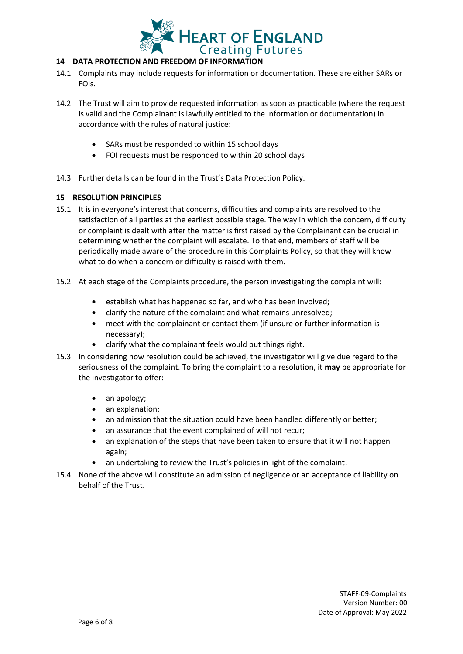

# **14 DATA PROTECTION AND FREEDOM OF INFORMATION**

- 14.1 Complaints may include requests for information or documentation. These are either SARs or FOIs.
- 14.2 The Trust will aim to provide requested information as soon as practicable (where the request is valid and the Complainant is lawfully entitled to the information or documentation) in accordance with the rules of natural justice:
	- SARs must be responded to within 15 school days
	- FOI requests must be responded to within 20 school days
- 14.3 Further details can be found in the Trust's Data Protection Policy.

## **15 RESOLUTION PRINCIPLES**

- 15.1 It is in everyone's interest that concerns, difficulties and complaints are resolved to the satisfaction of all parties at the earliest possible stage. The way in which the concern, difficulty or complaint is dealt with after the matter is first raised by the Complainant can be crucial in determining whether the complaint will escalate. To that end, members of staff will be periodically made aware of the procedure in this Complaints Policy, so that they will know what to do when a concern or difficulty is raised with them.
- 15.2 At each stage of the Complaints procedure, the person investigating the complaint will:
	- establish what has happened so far, and who has been involved;
	- clarify the nature of the complaint and what remains unresolved;
	- meet with the complainant or contact them (if unsure or further information is necessary);
	- clarify what the complainant feels would put things right.
- 15.3 In considering how resolution could be achieved, the investigator will give due regard to the seriousness of the complaint. To bring the complaint to a resolution, it **may** be appropriate for the investigator to offer:
	- an apology;
	- an explanation;
	- an admission that the situation could have been handled differently or better;
	- an assurance that the event complained of will not recur;
	- an explanation of the steps that have been taken to ensure that it will not happen again;
	- an undertaking to review the Trust's policies in light of the complaint.
- 15.4 None of the above will constitute an admission of negligence or an acceptance of liability on behalf of the Trust.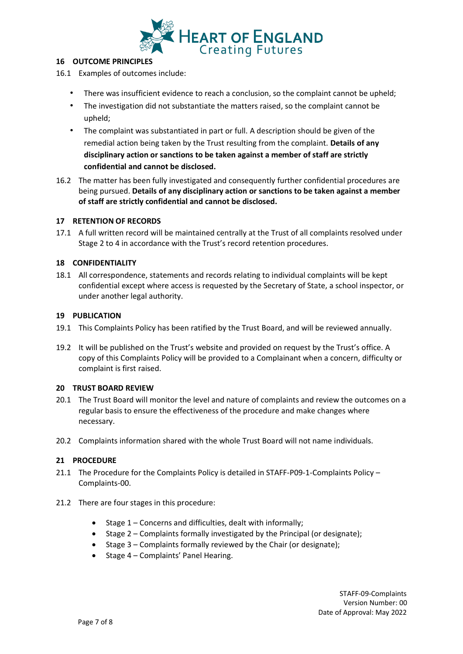

### **16 OUTCOME PRINCIPLES**

- 16.1 Examples of outcomes include:
	- There was insufficient evidence to reach a conclusion, so the complaint cannot be upheld;
	- The investigation did not substantiate the matters raised, so the complaint cannot be upheld;
	- The complaint was substantiated in part or full. A description should be given of the remedial action being taken by the Trust resulting from the complaint. **Details of any disciplinary action or sanctions to be taken against a member of staff are strictly confidential and cannot be disclosed.**
- 16.2 The matter has been fully investigated and consequently further confidential procedures are being pursued. **Details of any disciplinary action or sanctions to be taken against a member of staff are strictly confidential and cannot be disclosed.**

## **17 RETENTION OF RECORDS**

17.1 A full written record will be maintained centrally at the Trust of all complaints resolved under Stage 2 to 4 in accordance with the Trust's record retention procedures.

## **18 CONFIDENTIALITY**

18.1 All correspondence, statements and records relating to individual complaints will be kept confidential except where access is requested by the Secretary of State, a school inspector, or under another legal authority.

#### **19 PUBLICATION**

- 19.1 This Complaints Policy has been ratified by the Trust Board, and will be reviewed annually.
- 19.2 It will be published on the Trust's website and provided on request by the Trust's office. A copy of this Complaints Policy will be provided to a Complainant when a concern, difficulty or complaint is first raised.

#### **20 TRUST BOARD REVIEW**

- 20.1 The Trust Board will monitor the level and nature of complaints and review the outcomes on a regular basis to ensure the effectiveness of the procedure and make changes where necessary.
- 20.2 Complaints information shared with the whole Trust Board will not name individuals.

#### **21 PROCEDURE**

- 21.1 The Procedure for the Complaints Policy is detailed in STAFF-P09-1-Complaints Policy Complaints-00.
- 21.2 There are four stages in this procedure:
	- Stage 1 Concerns and difficulties, dealt with informally;
	- Stage 2 Complaints formally investigated by the Principal (or designate);
	- Stage 3 Complaints formally reviewed by the Chair (or designate);
	- Stage 4 Complaints' Panel Hearing.